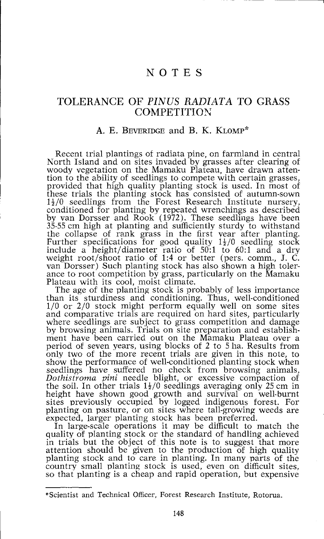# NOTE S

## TOLERANCE OF *PINUS RADIATA* TO GRASS **COMPETITION**

### A. E. BEVERIDGE and B. K. KLOMP\*

Recent trial plantings of radiata pine, on farmland in central North Island and on sites invaded by grasses after clearing of woody vegetation on the Mamaku Plateau, have drawn attention to the ability of seedlings to compete with certain grasses, provided that high quality planting stock is used. In most of these trials the planting stock has consisted of autumn-sown  $1\frac{1}{2}/0$  seedlings from the Forest Research Institute nursery, conditioned for planting by repeated wrenchings as described by van Dorsser and Rook (1972). These seedlings have been 35-55 cm high at planting and sufficiently sturdy to withstand the collapse of rank grass in the first year after planting. Further specifications for good quality  $1\frac{1}{2}/0$  seedling stock include a height/diameter ratio of 50:1 to 60:1 and a dry weight root/shoot ratio of 1:4 or better (pers, comm., J. C. van Dorsser) Such planting stock has also shown a high tolerance to root competition by grass, particularly on the Mamaku Plateau with its cool, moist climate.

The age of the planting stock is probably of less importance than its sturdiness and conditioning. Thus, well-conditioned 1/0 or 2/0 stock might perform equally well on some sites and comparative trials are required on hard sites, particularly where seedlings are subject to grass competition and damage by browsing animals. Trials on site preparation and establishment have been carried out on the Mamaku Plateau over a period of seven years, using blocks of 2 to 5 ha. Results from only two of the more recent trials are given in this note, to show the performance of well-conditioned planting stock when seedlings have suffered no check from browsing animals, *Dothistroma pini* needle blight, or excessive compaction of the soil. In other trials  $1\frac{1}{2}/0$  seedlings averaging only 25 cm in height have shown good growth and survival on well-burnt sites previously occupied by logged indigenous forest. For planting on pasture, or on sites where tall-growing weeds are expected, larger planting stock has been preferred.

In large-scale operations it may be difficult to match the quality of planting stock or the standard of handling achieved in trials but the object of this note is to suggest that more attention should be given to the production of high quality planting stock and to care in planting. In many parts of the country small planting stock is used, even on difficult sites, so that planting is a cheap and rapid operation, but expensive

<sup>\*</sup> Scientist and Technical Officer, Forest Research Institute, Rotorua.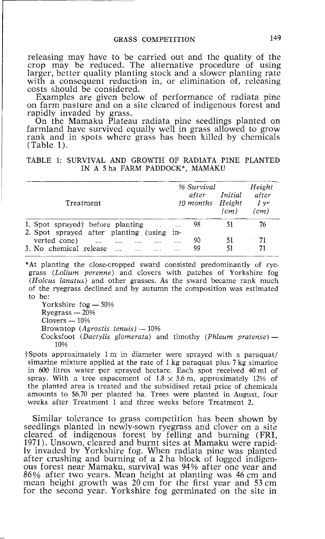releasing may have to be carried out and the quality of the crop may be reduced. The alternative procedure of using larger, better quality planting stock and a slower planting rate with a consequent reduction in, or elimination of, releasing costs should be considered.

Examples are given below of performance of radiata pine on farm pasture and on a site cleared of indigenous forest and rapidly invaded by grass.

On the Mamaku Plateau radiata pine seedlings planted on farmland have survived equally well in grass allowed to grow rank and in spots where grass has been killed by chemicals (Table 1).

### TABLE 1: SURVIVAL AND GROWTH OF RADIATA PINE PLANTED IN A 5 ha FARM PADDOCK\*, MAMAKU

| Treatment                                            | % Survival<br>after<br>10 months Height | Initial<br>(cm) | Height<br>after<br>1 v r<br>(cm) |
|------------------------------------------------------|-----------------------------------------|-----------------|----------------------------------|
| 1. Spot sprayed before planting<br><b>Contractor</b> | 98<br>$\cdots$                          |                 | 76                               |
| 2. Spot sprayed after planting (using                | in-                                     |                 |                                  |
| verted cone)<br>$\cdots$<br>                         | 90<br>                                  | 51              | 71                               |
| 3. No chemical release                               | 99                                      | 51              | 71                               |

\*At planting the close-cropped sward consisted predominantly of ryegrass *(Lolium perenne)* and clovers with patches of Yorkshire fog *(Holcus lanatus)* and other grasses. As the sward became rank much of the ryegrass declined and by autumn the composition was estimated to be:

Yorkshire fog — 50% Ryegrass — 20% Clovers — 10% Browntop *(Agrostis tenuis)* — 10% Cocksfoot *(Dactylis glomerata)* and timothy *(Phleum pratense)* — 10%

f Spots approximately 1 m in diameter were sprayed with a paraquat/ simazine mixture applied at the rate of 1 kg paraquat plus 7 kg simazine in 600 litres water per sprayed hectare. Each spot received 40 ml of spray. With a tree espacement of  $1.8 \times 3.6$  m, approximately 12% of the planted area is treated and the subsidised retail price of chemicals amounts to \$6.70 per planted ha. Trees were planted in August, four weeks after Treatment 1 and three weeks before Treatment 2.

Similar tolerance to grass competition has been shown by seedlings planted in newly-sown ryegrass and clover on a site cleared of indigenous forest by felling and burning (FRI, 1971). Unsown, cleared and burnt sites at Mamaku were rapidly invaded by Yorkshire fog. When radiata pine was planted after crushing and burning of a 2 ha block of logged indigenous forest near Mamaku, survival was 94% after one year and 86% after two years. Mean height at planting was 46 cm and mean height growth was 20 cm for the first year and 53 cm for the second year. Yorkshire fog germinated on the site in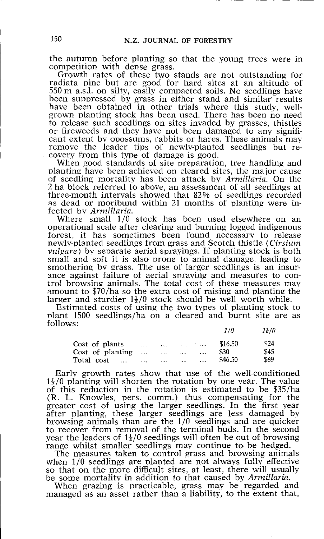the autumn before planting so that the young trees were in competition with dense grass,

Growth rates of these two stands are not outstanding for radiata pine but are good for hard sites at an altitude of 550 m a.s.l, on silty, easily compacted soils. No seedlings have been suppressed by grass in either stand and similar results have been obtained in other trials where this study, wellgrown planting stock has been used. There has been no need to release such seedlings on sites invaded by grasses, thistles or fireweeds and they have not been damaged to any significant extent bv opossums, rabbits or hares. These animals may remove the leader tips of newly-planted seedlings but recovery from this type of damage is good.

When good standards of site preparation, tree handling and planting have been achieved on cleared sites, the major cause of seedling mortality has been attack by *Armillaria.* On the 2 ha block referred to above, an assessment of all seedlings at three-month intervals showed that 82% of seedlings recorded as dead or moribund within 21 months of planting were infected by *Armillaria.* 

Where small 1/0 stock has been used elsewhere on an operational scale after clearing and burning logged indigenous forest, it has sometimes been found necessary to release newly-planted seedlings from grass and Scotch thistle *(Cirsium vulgare)* by separate aerial sprayings. If planting stock is both small and soft it is also prone to animal damage, leading to smothering bv grass. The use of larger seedlings is an insurance against failure of aerial spraying and measures to control browsing animals. The total cost of these measures may amount to \$70/ha so the extra cost of raising and planting the larger and sturdier  $1\frac{1}{2}/0$  stock should be well worth while.

Estimated costs of using the two types of planting stock to nlant 1500 seedlings/ha on a cleared and burnt site are as follows:  $\overline{a}$ 

|                  |          |          |          |                 | 170     | 12/U |
|------------------|----------|----------|----------|-----------------|---------|------|
| Cost of plants   | $\cdots$ |          | $\cdots$ | <b>Contract</b> | \$16.50 | \$24 |
| Cost of planting | $\cdots$ | $\cdots$ | $\cdots$ | $\cdots$        | \$30    | \$45 |
| Total cost<br>   | $\cdots$ | $\cdots$ |          |                 | \$46.50 | \$69 |

Early growth rates show that use of the well-conditioned *H/0* planting will shorten the rotation by one vear. The value of this reduction in the rotation is estimated to be \$35/ha (R. L. Knowles, pers, comm.) thus compensating for the greater cost of using the larger seedlings. In the first year after planting, these larger seedlings are less damaged by browsing animals than are the 1/0 seedlings and are quicker to recover from removal of the terminal buds. In the second year the leaders of  $1\frac{1}{2}$ /0 seedlings will often be out of browsing range whilst smaller seedlings may continue to be hedged.

The measures taken to control grass and browsing animals when 1/0 seedlings are planted are not always fully effective so that on the more difficult sites, at least, there will usually be some mortality in addition to that caused by *Armillaria.* 

When grazing is practicable, grass may be regarded and managed as an asset rather than a liability, to the extent that,